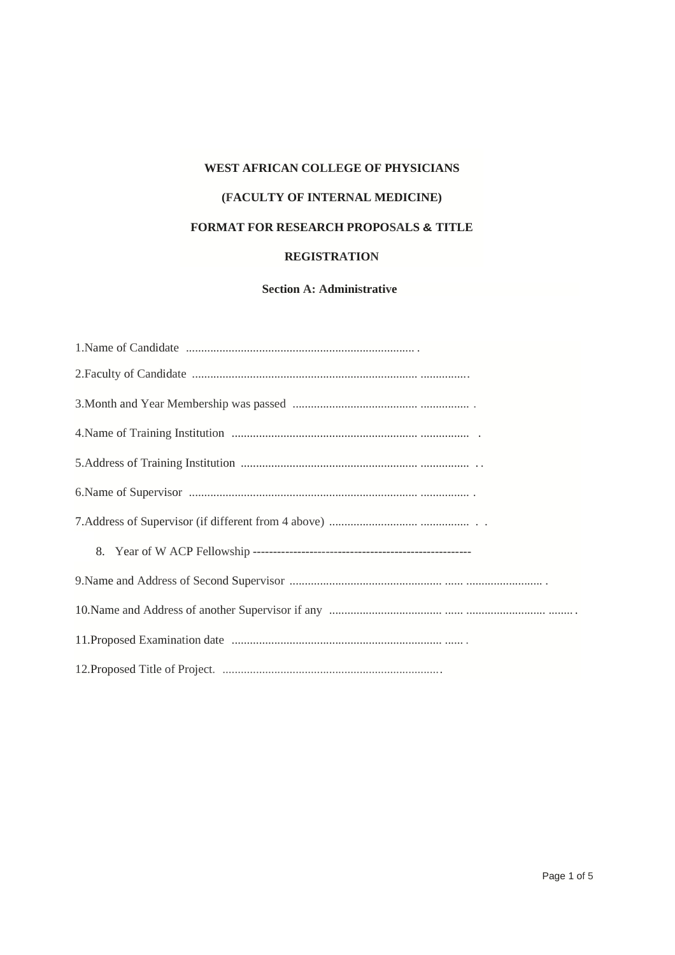# **WEST AFRICAN COLLEGE OF PHYSICIANS (FACULTY OF INTERNAL MEDICINE) FORMAT FOR RESEARCH PROPOSALS & TITLE REGISTRATION**

## **Section A: Administrative**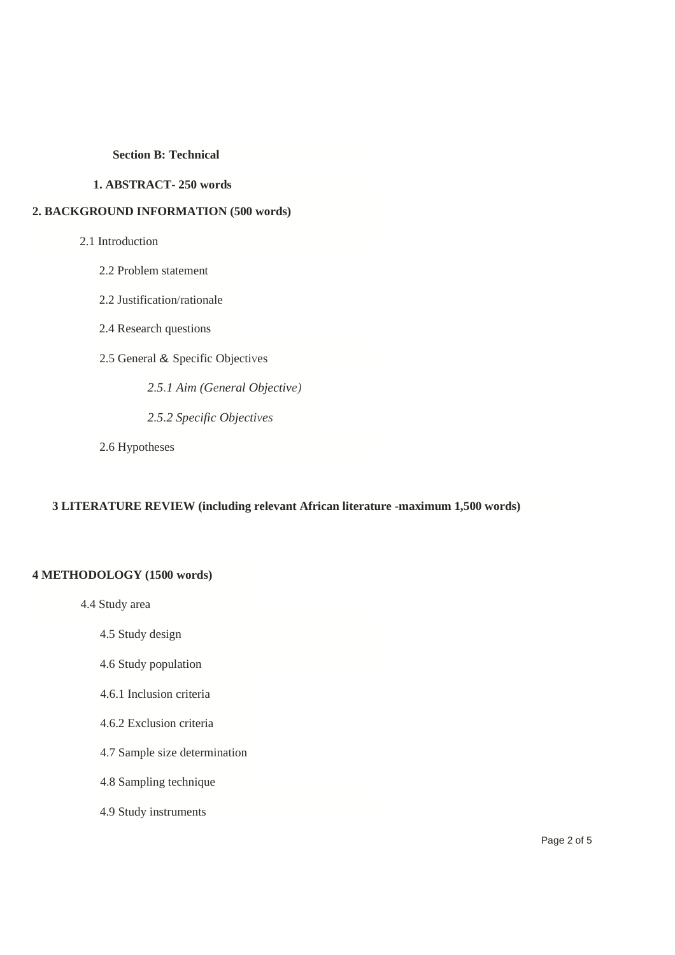#### **Section B: Technical**

#### **1. ABSTRACT- 250 words**

#### **2. BACKGROUND INFORMATION (500 words)**

#### 2.1 Introduction

- 2.2 Problem statement
- 2.2 Justification/rationale
- 2.4 Research questions
- 2.5 General & Specific Objectives
	- *2.5.1 Aim (General Objective)*
	- *2.5.2 Specific Objectives*
- 2.6 Hypotheses

## **3 LITERATURE REVIEW (including relevant African literature -maximum 1,500 words)**

## **4 METHODOLOGY (1500 words)**

- 4.4 Study area
	- 4.5 Study design
	- 4.6 Study population
	- 4.6.1 Inclusion criteria
	- 4.6.2 Exclusion criteria
	- 4.7 Sample size determination
	- 4.8 Sampling technique
	- 4.9 Study instruments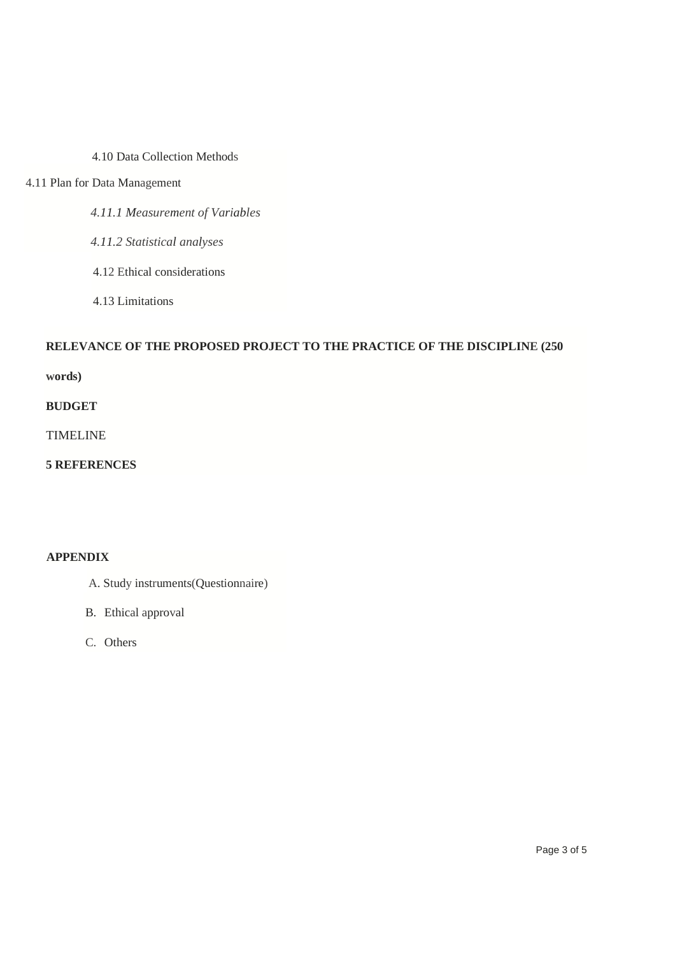4.10 Data Collection Methods

## 4.11 Plan for Data Management

- *4.11.1 Measurement of Variables*
- *4.11.2 Statistical analyses*
- 4.12 Ethical considerations
- 4.13 Limitations

## **RELEVANCE OF THE PROPOSED PROJECT TO THE PRACTICE OF THE DISCIPLINE (250**

**words)** 

## **BUDGET**

TIMELINE

**5 REFERENCES** 

## **APPENDIX**

- A. Study instruments(Questionnaire)
- B. Ethical approval
- C. Others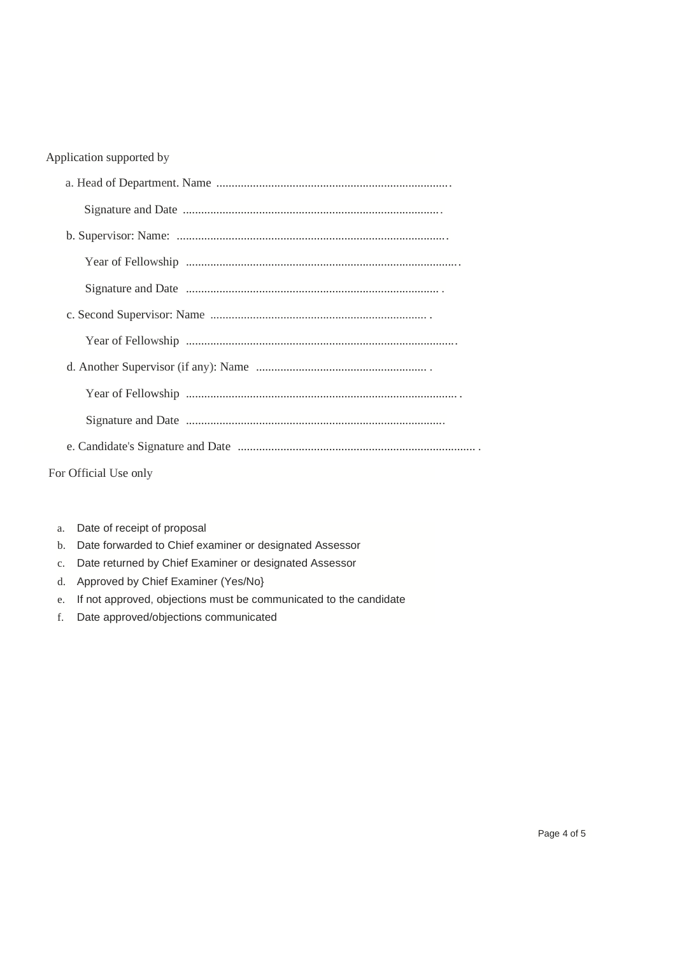## Application supported by

| For Official Use only |
|-----------------------|

- a. Date of receipt of proposal
- b. Date forwarded to Chief examiner or designated Assessor
- c. Date returned by Chief Examiner or designated Assessor
- d. Approved by Chief Examiner (Yes/No}
- e. If not approved, objections must be communicated to the candidate
- f. Date approved/objections communicated